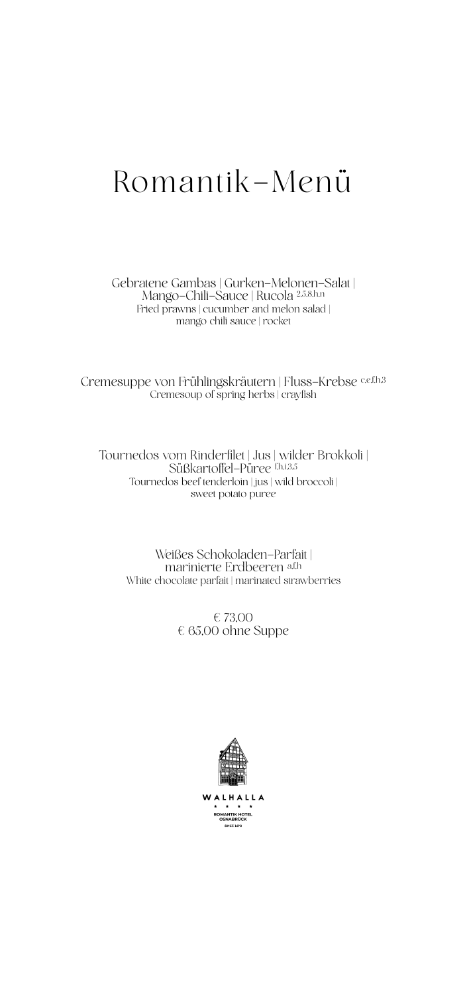### Romantik-Menü

Gebratene Gambas | Gurken-Melonen-Salat | Mango-Chili-Sauce | Rucola 2,5,8,h,n Fried prawns | cucumber and melon salad | mango chili sauce | rocket

Cremesuppe von Frühlingskräutern | Fluss-Krebse cef.h.3 Cremesoup of spring herbs | crayfish

Tournedos vom Rinderfilet | Jus | wilder Brokkoli | Süßkartoffel-Püree f,h,i,3,5 Tournedos beef tenderloin | jus | wild broccoli | sweet potato puree

> Weißes Schokoladen-Parfait | marinierte Erdbeeren a,f,h White chocolate parfait | marinated strawberries

> > € 73,00 € 65,00 ohne Suppe



WALH **LLA**  $\star$ **ROMANTIK HOTEL NCE 1690**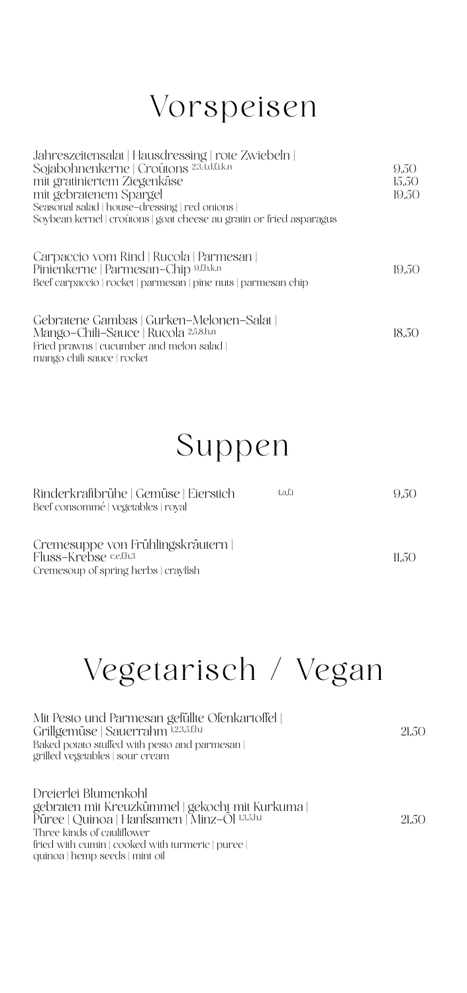### Vorspeisen

| Jahreszeitensalat   Hausdressing   rote Zwiebeln  <br>Sojabohnenkerne   Croûtons 2.3.4.d.f.i.k.n<br>mit gratiniertem Ziegenkäse<br>mit gebratenem Spargel<br>Seasonal salad   house-dressing   red onions  <br>Soybean kernel   croûtons   goat cheese au gratin or fried asparagus | 9.50<br>15.50<br>19,50 |
|-------------------------------------------------------------------------------------------------------------------------------------------------------------------------------------------------------------------------------------------------------------------------------------|------------------------|
| Carpaccio vom Rind   Rucola   Parmesan  <br>Pinienkerne   Parmesan-Chip 9.f.h.k.n<br>Beef carpaccio   rocket   parmesan   pine nuts   parmesan chip                                                                                                                                 | 19.50                  |
| Gebratene Gambas   Gurken-Melonen-Salat  <br>Mango-Chili-Sauce   Rucola 2.5.8.h.n<br>Fried prawns   cucumber and melon salad  <br>mango chili sauce   rocket                                                                                                                        | 18.50                  |

### Suppen

| Rinderkraftbrühe   Gemüse   Eierstich  <br>Beef consommé   vegetables   royal                         | 4.a.f.i | 9.50   |
|-------------------------------------------------------------------------------------------------------|---------|--------|
| Cremesuppe von Frühlingskräutern  <br>Fluss-Krebse c.e.f.h.3<br>Cremesoup of spring herbs   cravfish_ |         | 11.5() |

# Vegetarisch / Vegan

| Mit Pesto und Parmesan gefüllte Ofenkartoffel<br>Grillgemüse   Sauerrahm 1.2.3.5.f.h.i<br>Baked potato stuffed with pesto and parmesan  <br>grilled vegetables   sour cream                                                                     | 21,50 |
|-------------------------------------------------------------------------------------------------------------------------------------------------------------------------------------------------------------------------------------------------|-------|
| Dreierlei Blumenkohl<br>gebraten mit Kreuzkümmel   gekocht mit Kurkuma  <br>Püree   Quinoa   Hanfsamen   Minz-Öl 1.3.5.h.i<br>Three kinds of cauliflower<br>fried with cumin   cooked with turmeric   puree  <br>quinoa   hemp seeds   mint oil | 21.50 |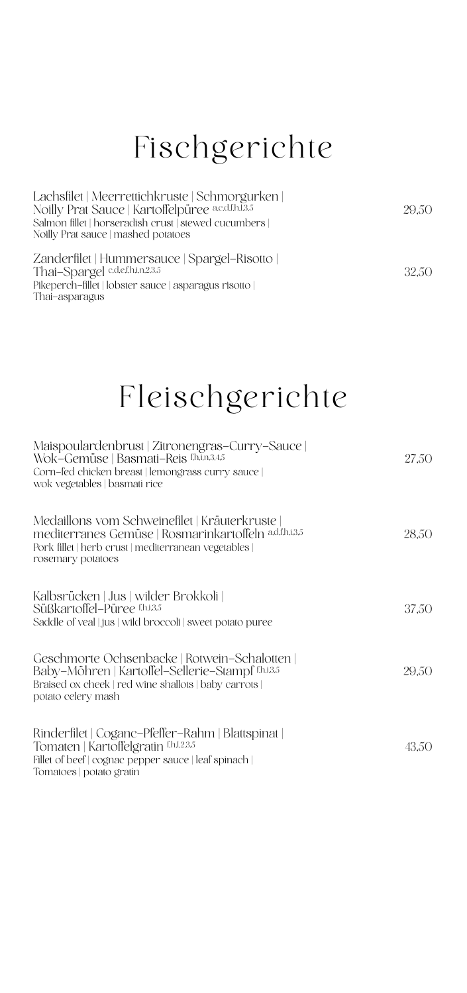### Fischgerichte

| Lachsfilet   Meerrettichkruste   Schmorgurken  <br>Noilly Prat Sauce   Kartoffelpüree a.c.d.f.h.1.3.5<br>Salmon fillet   horseradish crust   stewed cucumbers  <br>Noilly Prat sauce   mashed potatoes | 29.50 |
|--------------------------------------------------------------------------------------------------------------------------------------------------------------------------------------------------------|-------|
| Zanderfilet   Hummersauce   Spargel-Risotto  <br>Thai-Spargel c.d.e.f.h.i.n.2.3.5<br>Pikeperch-fillet   lobster sauce   asparagus risotto  <br>Thai-asparagus                                          | 32.50 |

## Fleischgerichte

| Maispoulardenbrust   Zitronengras-Curry-Sauce  <br>Wok-Gemüse   Basmati-Reis f.h.in.3.4.5<br>Corn-fed chicken breast   lemongrass curry sauce  <br>wok vegetables   basmati rice   | 27,50 |
|------------------------------------------------------------------------------------------------------------------------------------------------------------------------------------|-------|
| Medaillons vom Schweinefilet   Kräuterkruste<br>mediterranes Gemüse   Rosmarinkartoffeln adf.h.i.3.5<br>Pork fillet   herb crust   mediterranean vegetables  <br>rosemary potatoes | 28,50 |
| Kalbsrücken   Jus   wilder Brokkoli  <br>Süßkartoffel-Püree f.h.i.3.5<br>Saddle of veal   jus   wild broccoli   sweet potato puree                                                 | 37,50 |
| Geschmorte Ochsenbacke   Rotwein-Schalotten  <br>Baby-Möhren   Kartoffel-Sellerie-Stampf f.h.i.3.5<br>Braised ox cheek   red wine shallots   baby carrots  <br>potato celery mash  | 29,50 |
| Rinderfilet   Coganc-Pfeffer-Rahm   Blattspinat  <br>Tomaten   Kartoffelgratin f.h.1.2.3.5<br>Fillet of beef   cognac pepper sauce   leaf spinach  <br>Tomatoes   potato gratin    | 43,50 |